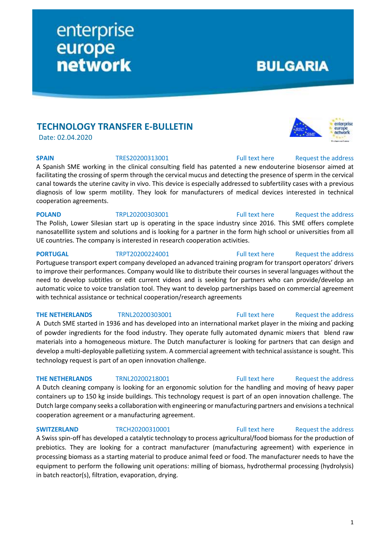# **TECHNOLOGY TRANSFER E-BULLETIN**

enterprise

europe<br>network

Date: 02.04.2020

### **SPAIN** TRES20200313001 [Full text here](https://een.ec.europa.eu/tools/services/PRO/Profile/Detail/de9bb91f-10fd-4d42-bc8e-3835d0eac45a) Request the address

A Spanish SME working in the clinical consulting field has patented a new endouterine biosensor aimed at facilitating the crossing of sperm through the cervical mucus and detecting the presence of sperm in the cervical canal towards the uterine cavity in vivo. This device is especially addressed to subfertility cases with a previous diagnosis of low sperm motility. They look for manufacturers of medical devices interested in technical cooperation agreements.

**POLAND** TRPL20200303001 [Full text here](https://een.ec.europa.eu/tools/services/PRO/Profile/Detail/872228e1-4981-4942-8f14-09dfb764ed6a) Request the address

The Polish, Lower Silesian start up is operating in the space industry since 2016. This SME offers complete nanosatelllite system and solutions and is looking for a partner in the form high school or universities from all UE countries. The company is interested in research cooperation activities.

Portuguese transport expert company developed an advanced training program for transport operators' drivers to improve their performances. Company would like to distribute their courses in several languages without the need to develop subtitles or edit current videos and is seeking for partners who can provide/develop an automatic voice to voice translation tool. They want to develop partnerships based on commercial agreement with technical assistance or technical cooperation/research agreements

A Dutch SME started in 1936 and has developed into an international market player in the mixing and packing of powder ingredients for the food industry. They operate fully automated dynamic mixers that blend raw materials into a homogeneous mixture. The Dutch manufacturer is looking for partners that can design and develop a multi-deployable palletizing system. A commercial agreement with technical assistance is sought. This technology request is part of an open innovation challenge.

# **THE NETHERLANDS** TRNL20200218001 [Full text here](https://een.ec.europa.eu/tools/services/PRO/Profile/Detail/81ee6f78-a542-49e8-9db2-7f1127763732) Request the address

A Dutch cleaning company is looking for an ergonomic solution for the handling and moving of heavy paper containers up to 150 kg inside buildings. This technology request is part of an open innovation challenge. The Dutch large company seeks a collaboration with engineering or manufacturing partners and envisions a technical cooperation agreement or a manufacturing agreement.

# **SWITZERLAND** TRCH20200310001 [Full text here](https://een.ec.europa.eu/tools/services/PRO/Profile/Detail/7fe3213d-be54-4699-a8bc-31f0940066c7) Request the address

A Swiss spin-off has developed a catalytic technology to process agricultural/food biomass for the production of prebiotics. They are looking for a contract manufacturer (manufacturing agreement) with experience in processing biomass as a starting material to produce animal feed or food. The manufacturer needs to have the equipment to perform the following unit operations: milling of biomass, hydrothermal processing (hydrolysis) in batch reactor(s), filtration, evaporation, drying.

**BULGARIA** 

# **PORTUGAL** TRPT20200224001 [Full text here](https://een.ec.europa.eu/tools/services/PRO/Profile/Detail/a61884a0-df75-4fca-a68f-689525a9a764) Request [the address](http://www.een.bg/index.php?option=com_rsform&formId=13)

# **THE NETHERLANDS** TRNL20200303001 [Full text here](https://een.ec.europa.eu/tools/services/PRO/Profile/Detail/7406917f-1140-4591-894c-588473d71529) Request [the address](http://www.een.bg/index.php?option=com_rsform&formId=13)



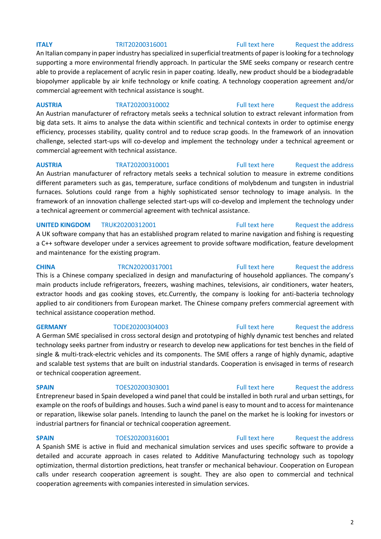An Italian company in paper industry has specialized in superficial treatments of paper is looking for a technology supporting a more environmental friendly approach. In particular the SME seeks company or research centre able to provide a replacement of acrylic resin in paper coating. Ideally, new product should be a biodegradable biopolymer applicable by air knife technology or knife coating. A technology cooperation agreement and/or commercial agreement with technical assistance is sought.

**AUSTRIA** TRAT20200310002 [Full text here](https://een.ec.europa.eu/tools/services/PRO/Profile/Detail/53d302b9-c54c-4e54-93b4-23496154ed8f) Request [the address](http://www.een.bg/index.php?option=com_rsform&formId=13)

An Austrian manufacturer of refractory metals seeks a technical solution to extract relevant information from big data sets. It aims to analyse the data within scientific and technical contexts in order to optimise energy efficiency, processes stability, quality control and to reduce scrap goods. In the framework of an innovation challenge, selected start-ups will co-develop and implement the technology under a technical agreement or commercial agreement with technical assistance.

**AUSTRIA** TRAT20200310001 [Full text here](https://een.ec.europa.eu/tools/services/PRO/Profile/Detail/34e3ce12-5d93-4139-a65c-8e4676c70643) Request [the address](http://www.een.bg/index.php?option=com_rsform&formId=13)  An Austrian manufacturer of refractory metals seeks a technical solution to measure in extreme conditions different parameters such as gas, temperature, surface conditions of molybdenum and tungsten in industrial furnaces. Solutions could range from a highly sophisticated sensor technology to image analysis. In the framework of an innovation challenge selected start-ups will co-develop and implement the technology under a technical agreement or commercial agreement with technical assistance.

# **UNITED KINGDOM** TRUK20200312001 **Full text here** Request the address

A UK software company that has an established program related to marine navigation and fishing is requesting a C++ software developer under a services agreement to provide software modification, feature development and maintenance for the existing program.

### **CHINA** TRCN20200317001 [Full text here](https://een.ec.europa.eu/tools/services/PRO/Profile/Detail/b26fb584-2182-4b6d-abd2-83c5b20ca2f1) Request [the address](http://www.een.bg/index.php?option=com_rsform&formId=13)

This is a Chinese company specialized in design and manufacturing of household appliances. The company's main products include refrigerators, freezers, washing machines, televisions, air conditioners, water heaters, extractor hoods and gas cooking stoves, etc.Currently, the company is looking for anti-bacteria technology applied to air conditioners from European market. The Chinese company prefers commercial agreement with technical assistance cooperation method.

# **GERMANY** TODE20200304003 [Full text here](https://een.ec.europa.eu/tools/services/PRO/Profile/Detail/f110218d-4737-41ce-8c83-3c6cc43e10e9) Request the address

A German SME specialised in cross sectoral design and prototyping of highly dynamic test benches and related technology seeks partner from industry or research to develop new applications for test benches in the field of single & multi-track-electric vehicles and its components. The SME offers a range of highly dynamic, adaptive and scalable test systems that are built on industrial standards. Cooperation is envisaged in terms of research or technical cooperation agreement.

Entrepreneur based in Spain developed a wind panel that could be installed in both rural and urban settings, for example on the roofs of buildings and houses. Such a wind panel is easy to mount and to access for maintenance or reparation, likewise solar panels. Intending to launch the panel on the market he is looking for investors or industrial partners for financial or technical cooperation agreement.

**SPAIN** TOES20200316001 [Full text here](https://een.ec.europa.eu/tools/services/PRO/Profile/Detail/21e92fdf-711d-459d-a1d4-e381b22bc15b) Request the address A Spanish SME is active in fluid and mechanical simulation services and uses specific software to provide a detailed and accurate approach in cases related to Additive Manufacturing technology such as topology optimization, thermal distortion predictions, heat transfer or mechanical behaviour. Cooperation on European calls under research cooperation agreement is sought. They are also open to commercial and technical cooperation agreements with companies interested in simulation services.

# **SPAIN** TOES20200303001 [Full text here](https://een.ec.europa.eu/tools/services/PRO/Profile/Detail/6c3ab474-f13c-427b-bf5b-d5ad80e3592e) Request the address

# **ITALY TRIT20200316001** [Full text here](https://een.ec.europa.eu/tools/services/PRO/Profile/Detail/3d7094db-f4dc-429b-9a4c-f2a148d09a45) Request [the address](http://www.een.bg/index.php?option=com_rsform&formId=13)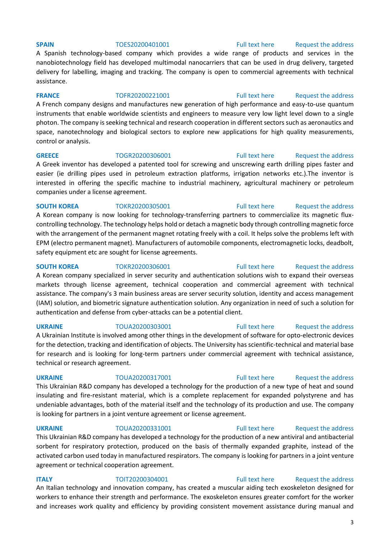A Spanish technology-based company which provides a wide range of products and services in the nanobiotechnology field has developed multimodal nanocarriers that can be used in drug delivery, targeted delivery for labelling, imaging and tracking. The company is open to commercial agreements with technical assistance.

# **FRANCE** TOFR20200221001 [Full text here](https://een.ec.europa.eu/tools/services/PRO/Profile/Detail/74f64aed-7384-4101-a2ea-daa1af38e285) Request the address

A French company designs and manufactures new generation of high performance and easy-to-use quantum instruments that enable worldwide scientists and engineers to measure very low light level down to a single photon. The company is seeking technical and research cooperation in different sectors such as aeronautics and space, nanotechnology and biological sectors to explore new applications for high quality measurements, control or analysis.

# **GREECE** TOGR20200306001 [Full text here](https://een.ec.europa.eu/tools/services/PRO/Profile/Detail/16a2642c-1181-4469-8096-63ebb1e30d80) Request the address

A Greek inventor has developed a patented tool for screwing and unscrewing earth drilling pipes faster and easier (ie drilling pipes used in petroleum extraction platforms, irrigation networks etc.).The inventor is interested in offering the specific machine to industrial machinery, agricultural machinery or petroleum companies under a license agreement.

### **SOUTH KOREA** TOKR20200305001 [Full text here](https://een.ec.europa.eu/tools/services/PRO/Profile/Detail/cb30d2c6-6384-4b00-bf30-839372b415ac) Request the address

A Korean company is now looking for technology-transferring partners to commercialize its magnetic fluxcontrolling technology. The technology helps hold or detach a magnetic body through controlling magnetic force with the arrangement of the permanent magnet rotating freely with a coil. It helps solve the problems left with EPM (electro permanent magnet). Manufacturers of automobile components, electromagnetic locks, deadbolt, safety equipment etc are sought for license agreements.

A Korean company specialized in server security and authentication solutions wish to expand their overseas markets through license agreement, technical cooperation and commercial agreement with technical assistance. The company's 3 main business areas are server security solution, identity and access management (IAM) solution, and biometric signature authentication solution. Any organization in need of such a solution for authentication and defense from cyber-attacks can be a potential client.

**UKRAINE** TOUA20200303001 [Full text here](https://een.ec.europa.eu/tools/services/PRO/Profile/Detail/2ef11613-8931-4bc0-ad96-d7a4d99ec8cc) Request the address A Ukrainian Institute is involved among other things in the development of software for opto-electronic devices for the detection, tracking and identification of objects. The University has scientific-technical and material base for research and is looking for long-term partners under commercial agreement with technical assistance, technical or research agreement.

# **UKRAINE** TOUA20200317001 [Full text here](https://een.ec.europa.eu/tools/services/PRO/Profile/Detail/eede0711-9bca-4416-96ce-82ebfa5162f4) [Request the address](http://www.een.bg/index.php?option=com_rsform&formId=13)

This Ukrainian R&D company has developed a technology for the production of a new type of heat and sound insulating and fire-resistant material, which is a complete replacement for expanded polystyrene and has undeniable advantages, both of the material itself and the technology of its production and use. The company is looking for partners in a joint venture agreement or license agreement.

# **UKRAINE** TOUA20200331001 [Full text here](https://een.ec.europa.eu/tools/services/PRO/Profile/Detail/a04c3efa-4f4c-492f-922b-cc37208ea4a6) Request the address

This Ukrainian R&D company has developed a technology for the production of a new antiviral and antibacterial sorbent for respiratory protection, produced on the basis of thermally expanded graphite, instead of the activated carbon used today in manufactured respirators. The company is looking for partners in a joint venture agreement or technical cooperation agreement.

# **ITALY TOIT20200304001** [Full text here](https://een.ec.europa.eu/tools/services/PRO/Profile/Detail/9a3469a3-2fbb-46e5-9c9f-5ba90b1cb423) Request the address An Italian technology and innovation company, has created a muscular aiding tech exoskeleton designed for workers to enhance their strength and performance. The exoskeleton ensures greater comfort for the worker and increases work quality and efficiency by providing consistent movement assistance during manual and

### **SPAIN** TOES20200401001 [Full text here](https://een.ec.europa.eu/tools/services/PRO/Profile/Detail/ea1900d7-1785-4389-b33e-aa064fc7ab4a) Request the address

**SOUTH KOREA** TOKR20200306001 [Full text here](https://een.ec.europa.eu/tools/services/PRO/Profile/Detail/a8cf168b-fb2f-4d9f-8dea-2995b12e0d1a) Request the address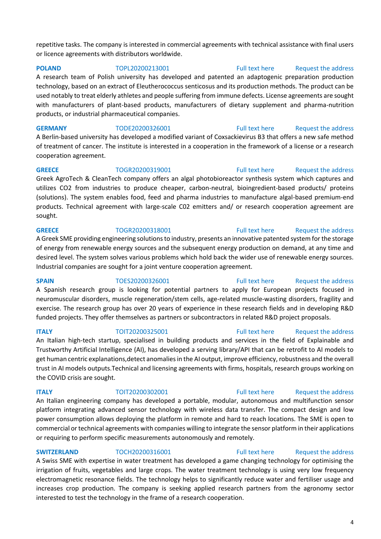repetitive tasks. The company is interested in commercial agreements with technical assistance with final users or licence agreements with distributors worldwide.

**POLAND TOPL20200213001** [Full text here](https://een.ec.europa.eu/tools/services/PRO/Profile/Detail/e5a3d96f-4b10-4cc9-b1ba-ad2ada2fe786) Request the address A research team of Polish university has developed and patented an adaptogenic preparation production technology, based on an extract of Eleutherococcus senticosus and its production methods. The product can be used notably to treat elderly athletes and people suffering from immune defects. License agreements are sought with manufacturers of plant-based products, manufacturers of dietary supplement and pharma-nutrition products, or industrial pharmaceutical companies.

**GERMANY** TODE20200326001 [Full text here](https://een.ec.europa.eu/tools/services/PRO/Profile/Detail/9631543a-7317-4954-9c80-43f6d1f47bfc) Request the address A Berlin-based university has developed a modified variant of Coxsackievirus B3 that offers a new safe method of treatment of cancer. The institute is interested in a cooperation in the framework of a license or a research cooperation agreement.

**GREECE** TOGR20200319001 [Full text here](https://een.ec.europa.eu/tools/services/PRO/Profile/Detail/66e5729e-e205-41a6-81e7-4eebee645a6b) Request the address Greek AgroTech & CleanTech company offers an algal photobioreactor synthesis system which captures and utilizes CO2 from industries to produce cheaper, carbon-neutral, bioingredient-based products/ proteins (solutions). The system enables food, feed and pharma industries to manufacture algal-based premium-end products. Technical agreement with large-scale C02 emitters and/ or research cooperation agreement are sought.

**GREECE** TOGR20200318001 [Full text here](https://een.ec.europa.eu/tools/services/PRO/Profile/Detail/8ec31d90-f279-4703-8bdd-ccf5a0a1884e) Request the address A Greek SME providing engineering solutions to industry, presents an innovative patented system for the storage of energy from renewable energy sources and the subsequent energy production on demand, at any time and desired level. The system solves various problems which hold back the wider use of renewable energy sources. Industrial companies are sought for a joint venture cooperation agreement.

**SPAIN** TOES20200326001 [Full text here](https://een.ec.europa.eu/tools/services/PRO/Profile/Detail/c5233647-c421-4bbc-88bb-081e5ccd047c) Request the address A Spanish research group is looking for potential partners to apply for European projects focused in neuromuscular disorders, muscle regeneration/stem cells, age-related muscle-wasting disorders, fragility and exercise. The research group has over 20 years of experience in these research fields and in developing R&D funded projects. They offer themselves as partners or subcontractors in related R&D project proposals.

An Italian high-tech startup, specialised in building products and services in the field of Explainable and Trustworthy Artificial Intelligence (AI), has developed a serving library/API that can be retrofit to AI models to

An Italian engineering company has developed a portable, modular, autonomous and multifunction sensor platform integrating advanced sensor technology with wireless data transfer. The compact design and low power consumption allows deploying the platform in remote and hard to reach locations. The SME is open to commercial or technical agreements with companies willing to integrate the sensor platform in their applications or requiring to perform specific measurements autonomously and remotely.

**SWITZERLAND** TOCH20200316001 [Full text here](https://een.ec.europa.eu/tools/services/PRO/Profile/Detail/649eac3f-6886-4f8d-b4ac-413fa8759362) Request the address A Swiss SME with expertise in water treatment has developed a game changing technology for optimising the irrigation of fruits, vegetables and large crops. The water treatment technology is using very low frequency electromagnetic resonance fields. The technology helps to significantly reduce water and fertiliser usage and increases crop production. The company is seeking applied research partners from the agronomy sector interested to test the technology in the frame of a research cooperation.

# **ITALY TOIT20200325001** [Full text here](https://een.ec.europa.eu/tools/services/PRO/Profile/Detail/6a5aba11-abef-4112-b4a7-29e096234c70) Request the address

# get human centric explanations,detect anomalies in the AI output, improve efficiency, robustness and the overall

# the COVID crisis are sought.

# **ITALY TOIT20200302001** [Full text here](https://een.ec.europa.eu/tools/services/PRO/Profile/Detail/4a8e84ed-7f3c-4aba-b5c2-e27483a34f7e) Request the address

trust in AI models outputs.Technical and licensing agreements with firms, hospitals, research groups working on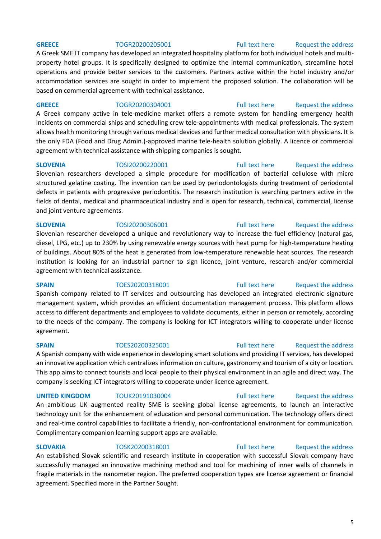A Greek SME IT company has developed an integrated hospitality platform for both individual hotels and multiproperty hotel groups. It is specifically designed to optimize the internal communication, streamline hotel operations and provide better services to the customers. Partners active within the hotel industry and/or accommodation services are sought in order to implement the proposed solution. The collaboration will be based on commercial agreement with technical assistance.

**GREECE** TOGR20200304001 [Full text here](https://een.ec.europa.eu/tools/services/PRO/Profile/Detail/fe9071a2-191a-406b-8961-dbc915e52904) Request the address A Greek company active in tele-medicine market offers a remote system for handling emergency health incidents on commercial ships and scheduling crew tele-appointments with medical professionals. The system allows health monitoring through various medical devices and further medical consultation with physicians. It is

### **SLOVENIA** TOSI20200220001 [Full text here](https://een.ec.europa.eu/tools/services/PRO/Profile/Detail/b71e4135-ee71-4a6c-983d-d86ada2aebca) Request the address

agreement with technical assistance with shipping companies is sought.

structured gelatine coating. The invention can be used by periodontologists during treatment of periodontal defects in patients with progressive periodontitis. The research institution is searching partners active in the fields of dental, medical and pharmaceutical industry and is open for research, technical, commercial, license and joint venture agreements.

the only FDA (Food and Drug Admin.)-approved marine tele-health solution globally. A licence or commercial

Slovenian researcher developed a unique and revolutionary way to increase the fuel efficiency (natural gas, diesel, LPG, etc.) up to 230% by using renewable energy sources with heat pump for high-temperature heating of buildings. About 80% of the heat is generated from low-temperature renewable heat sources. The research institution is looking for an industrial partner to sign licence, joint venture, research and/or commercial agreement with technical assistance.

**SPAIN** TOES20200318001 [Full text here](https://een.ec.europa.eu/tools/services/PRO/Profile/Detail/a2b6a08d-4196-4714-b520-b2249da7073f) Request the address

Spanish company related to IT services and outsourcing has developed an integrated electronic signature management system, which provides an efficient documentation management process. This platform allows access to different departments and employees to validate documents, either in person or remotely, according to the needs of the company. The company is looking for ICT integrators willing to cooperate under license agreement.

# **SPAIN** TOES20200325001 [Full text here](https://een.ec.europa.eu/tools/services/PRO/Profile/Detail/38516e30-6dbd-4f65-8639-dbf48fa64c72) Request the address

A Spanish company with wide experience in developing smart solutions and providing IT services, has developed an innovative application which centralizes information on culture, gastronomy and tourism of a city or location. This app aims to connect tourists and local people to their physical environment in an agile and direct way. The company is seeking ICT integrators willing to cooperate under licence agreement.

**UNITED KINGDOM** TOUK20191030004 [Full text here](https://een.ec.europa.eu/tools/services/PRO/Profile/Detail/5fe43ef9-7f25-48a7-acf5-8a7340bf1eb7) Request the address

An ambitious UK augmented reality SME is seeking global license agreements, to launch an interactive technology unit for the enhancement of education and personal communication. The technology offers direct and real-time control capabilities to facilitate a friendly, non-confrontational environment for communication. Complimentary companion learning support apps are available.

**SLOVAKIA** TOSK20200318001 [Full text here](https://een.ec.europa.eu/tools/services/PRO/Profile/Detail/7ee56dc1-f92a-4efd-9ac1-44ec6bf3e89b) Request the address

An established Slovak scientific and research institute in cooperation with successful Slovak company have successfully managed an innovative machining method and tool for machining of inner walls of channels in fragile materials in the nanometer region. The preferred cooperation types are license agreement or financial agreement. Specified more in the Partner Sought.

# 5

# **GREECE** TOGR20200205001 [Full text here](https://een.ec.europa.eu/tools/services/PRO/Profile/Detail/2e3247b4-a809-431c-8444-0b33fc6e22ab) Request the address

# Slovenian researchers developed a simple procedure for modification of bacterial cellulose with micro

# **SLOVENIA** TOSI20200306001 [Full text here](https://een.ec.europa.eu/tools/services/PRO/Profile/Detail/d39ec820-2080-45b8-81d5-e51c2faf7238) Request the address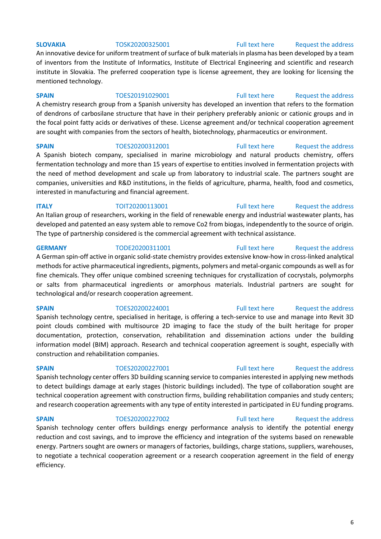# **SLOVAKIA** TOSK20200325001 [Full text here](https://een.ec.europa.eu/tools/services/PRO/Profile/Detail/6c3bc2fa-b758-428e-9f36-3dfd888a1186) Request the address

An innovative device for uniform treatment of surface of bulk materials in plasma has been developed by a team of inventors from the Institute of Informatics, Institute of Electrical Engineering and scientific and research institute in Slovakia. The preferred cooperation type is license agreement, they are looking for licensing the mentioned technology.

### **SPAIN** TOES20191029001 [Full text here](https://een.ec.europa.eu/tools/services/PRO/Profile/Detail/1abe41c0-18e3-4a95-a6c5-b833df8c56bc) Request the address

A chemistry research group from a Spanish university has developed an invention that refers to the formation of dendrons of carbosilane structure that have in their periphery preferably anionic or cationic groups and in the focal point fatty acids or derivatives of these. License agreement and/or technical cooperation agreement are sought with companies from the sectors of health, biotechnology, pharmaceutics or environment.

**SPAIN** TOES20200312001 [Full text here](https://een.ec.europa.eu/tools/services/PRO/Profile/Detail/356daeca-c7aa-456d-a53f-1adcb0c8eb7d) Request the address A Spanish biotech company, specialised in marine microbiology and natural products chemistry, offers fermentation technology and more than 15 years of expertise to entities involved in fermentation projects with the need of method development and scale up from laboratory to industrial scale. The partners sought are companies, universities and R&D institutions, in the fields of agriculture, pharma, health, food and cosmetics, interested in manufacturing and financial agreement.

**ITALY TOIT20200113001** [Full text here](https://een.ec.europa.eu/tools/services/PRO/Profile/Detail/02af3642-3b33-4085-be4d-f6fdb789ca30) Request the address An Italian group of researchers, working in the field of renewable energy and industrial wastewater plants, has developed and patented an easy system able to remove Co2 from biogas, independently to the source of origin. The type of partnership considered is the commercial agreement with technical assistance.

**GERMANY** TODE20200311001 [Full text here](https://een.ec.europa.eu/tools/services/PRO/Profile/Detail/7b63731e-b015-4de2-bdcd-dfd9f19fffba) Request the address A German spin-off active in organic solid-state chemistry provides extensive know-how in cross-linked analytical methods for active pharmaceutical ingredients, pigments, polymers and metal-organic compounds as well as for fine chemicals. They offer unique combined screening techniques for crystallization of cocrystals, polymorphs or salts from pharmaceutical ingredients or amorphous materials. Industrial partners are sought for technological and/or research cooperation agreement.

Spanish technology centre, specialised in heritage, is offering a tech-service to use and manage into Revit 3D point clouds combined with multisource 2D imaging to face the study of the built heritage for proper documentation, protection, conservation, rehabilitation and dissemination actions under the building information model (BIM) approach. Research and technical cooperation agreement is sought, especially with construction and rehabilitation companies.

Spanish technology center offers 3D building scanning service to companies interested in applying new methods to detect buildings damage at early stages (historic buildings included). The type of collaboration sought are technical cooperation agreement with construction firms, building rehabilitation companies and study centers; and research cooperation agreements with any type of entity interested in participated in EU funding programs.

**SPAIN** TOES20200227002 [Full text here](https://een.ec.europa.eu/tools/services/PRO/Profile/Detail/5569e6bb-4c39-43b7-b901-d5a282d86e2b) Request the address Spanish technology center offers buildings energy performance analysis to identify the potential energy reduction and cost savings, and to improve the efficiency and integration of the systems based on renewable energy. Partners sought are owners or managers of factories, buildings, charge stations, suppliers, warehouses, to negotiate a technical cooperation agreement or a research cooperation agreement in the field of energy efficiency.

# **SPAIN** TOES20200224001 [Full text here](https://een.ec.europa.eu/tools/services/PRO/Profile/Detail/a6c3655d-8333-475d-b272-8af8487ca98e) Request the address

# **SPAIN** TOES20200227001 [Full text here](https://een.ec.europa.eu/tools/services/PRO/Profile/Detail/662f1047-9c8f-4be3-8936-c633e8008ac4) Request the address

6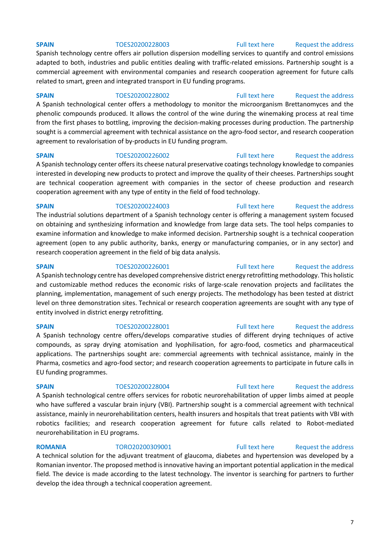Spanish technology centre offers air pollution dispersion modelling services to quantify and control emissions adapted to both, industries and public entities dealing with traffic-related emissions. Partnership sought is a commercial agreement with environmental companies and research cooperation agreement for future calls related to smart, green and integrated transport in EU funding programs.

### **SPAIN** TOES20200228002 [Full text here](https://een.ec.europa.eu/tools/services/PRO/Profile/Detail/a8b333b2-62c4-4b4b-ac4d-37d65fef8d6e) Request the address

A Spanish technological center offers a methodology to monitor the microorganism Brettanomyces and the phenolic compounds produced. It allows the control of the wine during the winemaking process at real time from the first phases to bottling, improving the decision-making processes during production. The partnership sought is a commercial agreement with technical assistance on the agro-food sector, and research cooperation agreement to revalorisation of by-products in EU funding program.

# **SPAIN** TOES20200226002 [Full text here](https://een.ec.europa.eu/tools/services/PRO/Profile/Detail/8ea5ed01-53b7-4e3e-b5a0-3c9fe8b562aa) Request the address

A Spanish technology center offers its cheese natural preservative coatings technology knowledge to companies interested in developing new products to protect and improve the quality of their cheeses. Partnerships sought are technical cooperation agreement with companies in the sector of cheese production and research cooperation agreement with any type of entity in the field of food technology.

# **SPAIN** TOES20200224003 [Full text here](https://een.ec.europa.eu/tools/services/PRO/Profile/Detail/02d2b067-9dff-4973-ab10-c595778c7a5b) Request the address The industrial solutions department of a Spanish technology center is offering a management system focused on obtaining and synthesizing information and knowledge from large data sets. The tool helps companies to examine information and knowledge to make informed decision. Partnership sought is a technical cooperation agreement (open to any public authority, banks, energy or manufacturing companies, or in any sector) and research cooperation agreement in the field of big data analysis.

A Spanish technology centre has developed comprehensive district energy retrofitting methodology. This holistic and customizable method reduces the economic risks of large-scale renovation projects and facilitates the planning, implementation, management of such energy projects. The methodology has been tested at district

### **SPAIN** TOES20200226001 [Full text here](https://een.ec.europa.eu/tools/services/PRO/Profile/Detail/a9dec057-bf5c-4c19-b685-582a69c433c8) Request the address

# level on three demonstration sites. Technical or research cooperation agreements are sought with any type of

entity involved in district energy retrofitting.

# **SPAIN** TOES20200228001 [Full text here](https://een.ec.europa.eu/tools/services/PRO/Profile/Detail/15472e4a-21e0-4c0e-a13d-435e665a3568) Request the address

A Spanish technology centre offers/develops comparative studies of different drying techniques of active compounds, as spray drying atomisation and lyophilisation, for agro-food, cosmetics and pharmaceutical applications. The partnerships sought are: commercial agreements with technical assistance, mainly in the Pharma, cosmetics and agro-food sector; and research cooperation agreements to participate in future calls in EU funding programmes.

# A Spanish technological centre offers services for robotic neurorehabilitation of upper limbs aimed at people who have suffered a vascular brain injury (VBI). Partnership sought is a commercial agreement with technical assistance, mainly in neurorehabilitation centers, health insurers and hospitals that treat patients with VBI with robotics facilities; and research cooperation agreement for future calls related to Robot-mediated neurorehabilitation in EU programs.

# **SPAIN** TOES20200228004 [Full text here](https://een.ec.europa.eu/tools/services/PRO/Profile/Detail/78bfd1da-be5a-4de9-a9a7-f7d2e7976f21) Request the address

**ROMANIA** TORO20200309001 [Full text here](https://een.ec.europa.eu/tools/services/PRO/Profile/Detail/c9ce4470-98f6-4d69-b142-dcc8a1d24aeb) Request the address A technical solution for the adjuvant treatment of glaucoma, diabetes and hypertension was developed by a Romanian inventor. The proposed method is innovative having an important potential application in the medical field. The device is made according to the latest technology. The inventor is searching for partners to further develop the idea through a technical cooperation agreement.

### **SPAIN** TOES20200228003 [Full text here](https://een.ec.europa.eu/tools/services/PRO/Profile/Detail/705098de-4682-4e73-8978-3420912f5edb) Request the address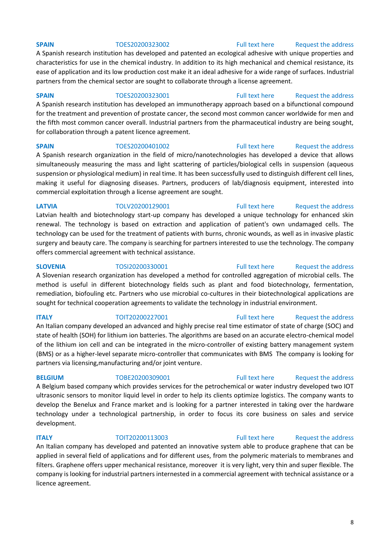A Spanish research institution has developed and patented an ecological adhesive with unique properties and characteristics for use in the chemical industry. In addition to its high mechanical and chemical resistance, its ease of application and its low production cost make it an ideal adhesive for a wide range of surfaces. Industrial partners from the chemical sector are sought to collaborate through a license agreement.

### **SPAIN** TOES20200323001 [Full text here](https://een.ec.europa.eu/tools/services/PRO/Profile/Detail/aa0d0e5d-f0a3-4416-8eed-89b6e5d859d5) Request the address

A Spanish research institution has developed an immunotherapy approach based on a bifunctional compound for the treatment and prevention of prostate cancer, the second most common cancer worldwide for men and the fifth most common cancer overall. Industrial partners from the pharmaceutical industry are being sought,

# for collaboration through a patent licence agreement.

# **SPAIN** TOES20200401002 [Full text here](https://een.ec.europa.eu/tools/services/PRO/Profile/Detail/ead0f717-16de-4480-9aab-36807fdc3920) Request the address A Spanish research organization in the field of micro/nanotechnologies has developed a device that allows simultaneously measuring the mass and light scattering of particles/biological cells in suspension (aqueous

suspension or physiological medium) in real time. It has been successfully used to distinguish different cell lines, making it useful for diagnosing diseases. Partners, producers of lab/diagnosis equipment, interested into commercial exploitation through a license agreement are sought.

# **LATVIA** TOLV20200129001 [Full text here](https://een.ec.europa.eu/tools/services/PRO/Profile/Detail/2c64e041-440c-480d-ac14-46fdb3714c35) Request the address Latvian health and biotechnology start-up company has developed a unique technology for enhanced skin renewal. The technology is based on extraction and application of patient's own undamaged cells. The technology can be used for the treatment of patients with burns, chronic wounds, as well as in invasive plastic surgery and beauty care. The company is searching for partners interested to use the technology. The company offers commercial agreement with technical assistance.

A Slovenian research organization has developed a method for controlled aggregation of microbial cells. The method is useful in different biotechnology fields such as plant and food biotechnology, fermentation, remediation, biofouling etc. Partners who use microbial co-cultures in their biotechnological applications are sought for technical cooperation agreements to validate the technology in industrial environment.

# **ITALY TOIT20200227001** [Full text here](https://een.ec.europa.eu/tools/services/PRO/Profile/Detail/12773fd5-3d63-4cbd-b8e9-49efd7073ae0) Request the address An Italian company developed an advanced and highly precise real time estimator of state of charge (SOC) and state of health (SOH) for lithium ion batteries. The algorithms are based on an accurate electro-chemical model of the lithium ion cell and can be integrated in the micro-controller of existing battery management system (BMS) or as a higher-level separate micro-controller that communicates with BMS The company is looking for partners via licensing,manufacturing and/or joint venture.

# **BELGIUM** TOBE20200309001 [Full text here](https://een.ec.europa.eu/tools/services/PRO/Profile/Detail/be7765ef-5e34-4279-9ce2-6d2bbe13466f) Request the address

A Belgium based company which provides services for the petrochemical or water industry developed two IOT ultrasonic sensors to monitor liquid level in order to help its clients optimize logistics. The company wants to develop the Benelux and France market and is looking for a partner interested in taking over the hardware technology under a technological partnership, in order to focus its core business on sales and service development.

# **ITALY TOIT20200113003** [Full text here](https://een.ec.europa.eu/tools/services/PRO/Profile/Detail/ee2b8750-d769-440a-84ab-5685dd357d0d) Request the address

An Italian company has developed and patented an innovative system able to produce graphene that can be applied in several field of applications and for different uses, from the polymeric materials to membranes and filters. Graphene offers upper mechanical resistance, moreover it is very light, very thin and super flexible. The company is looking for industrial partners internested in a commercial agreement with technical assistance or a licence agreement.

### 8

### **SPAIN** TOES20200323002 [Full text here](https://een.ec.europa.eu/tools/services/PRO/Profile/Detail/ca1b4595-44e4-4613-b601-680d6d429ba7) Request the address

# **SLOVENIA** TOSI20200330001 [Full text here](https://een.ec.europa.eu/tools/services/PRO/Profile/Detail/a1a0052d-9826-41b4-80ed-3951f80a357e) Request the address